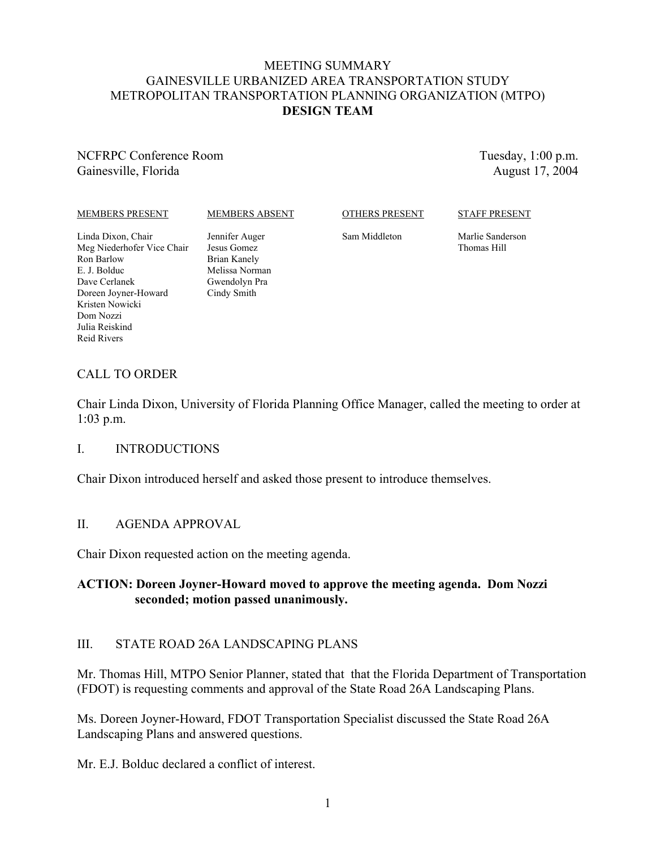#### MEETING SUMMARY GAINESVILLE URBANIZED AREA TRANSPORTATION STUDY METROPOLITAN TRANSPORTATION PLANNING ORGANIZATION (MTPO) **DESIGN TEAM**

## NCFRPC Conference Room Gainesville, Florida

Tuesday, 1:00 p.m. August 17, 2004

#### MEMBERS PRESENT

#### MEMBERS ABSENT

OTHERS PRESENT

STAFF PRESENT

Sam Middleton

Marlie Sanderson Thomas Hill

Linda Dixon, Chair Meg Niederhofer Vice Chair Ron Barlow E. J. Bolduc Dave Cerlanek Doreen Joyner-Howard Kristen Nowicki Dom Nozzi Julia Reiskind Reid Rivers

Jennifer Auger Jesus Gomez Brian Kanely Melissa Norman Gwendolyn Pra Cindy Smith

# CALL TO ORDER

Chair Linda Dixon, University of Florida Planning Office Manager, called the meeting to order at 1:03 p.m.

#### I. INTRODUCTIONS

Chair Dixon introduced herself and asked those present to introduce themselves.

## II. AGENDA APPROVAL

Chair Dixon requested action on the meeting agenda.

## **ACTION: Doreen Joyner-Howard moved to approve the meeting agenda. Dom Nozzi seconded; motion passed unanimously.**

## III. STATE ROAD 26A LANDSCAPING PLANS

Mr. Thomas Hill, MTPO Senior Planner, stated that that the Florida Department of Transportation (FDOT) is requesting comments and approval of the State Road 26A Landscaping Plans.

Ms. Doreen Joyner-Howard, FDOT Transportation Specialist discussed the State Road 26A Landscaping Plans and answered questions.

Mr. E.J. Bolduc declared a conflict of interest.